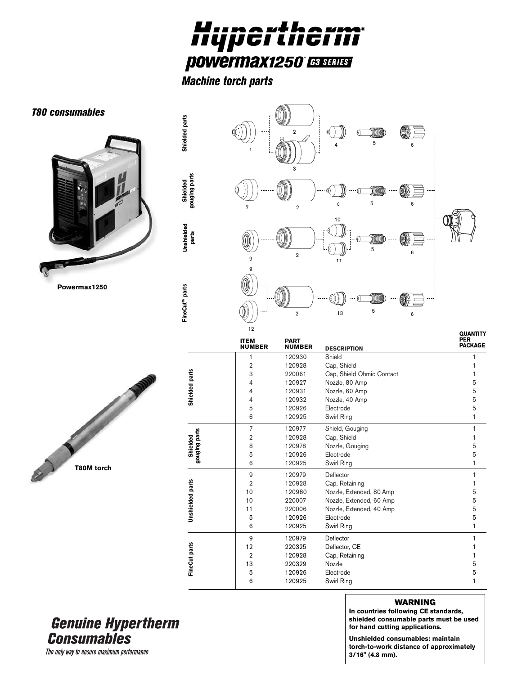

*Machine torch parts*



## **Genuine Hypertherm Consumables**

## **WARNING In countries following CE standards,**

**shielded consumable parts must be used for hand cutting applications.**

**Unshielded consumables: maintain torch-to-work distance of approximately 3/16" (4.8 mm).**

The only way to ensure maximum performance